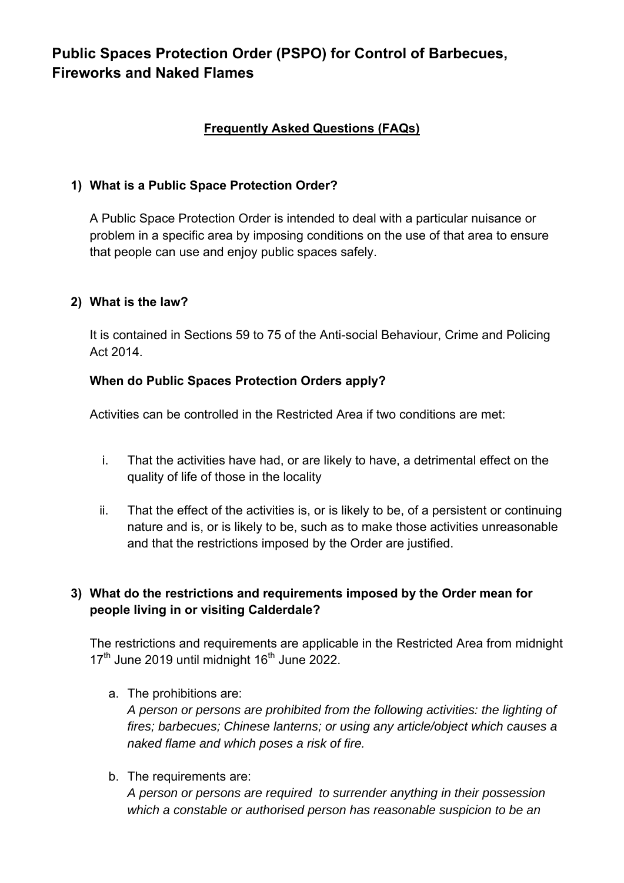# **Public Spaces Protection Order (PSPO) for Control of Barbecues, Fireworks and Naked Flames**

# **Frequently Asked Questions (FAQs)**

### **1) What is a Public Space Protection Order?**

A Public Space Protection Order is intended to deal with a particular nuisance or problem in a specific area by imposing conditions on the use of that area to ensure that people can use and enjoy public spaces safely.

#### **2) What is the law?**

It is contained in Sections 59 to 75 of the Anti-social Behaviour, Crime and Policing Act 2014.

#### **When do Public Spaces Protection Orders apply?**

Activities can be controlled in the Restricted Area if two conditions are met:

- i. That the activities have had, or are likely to have, a detrimental effect on the quality of life of those in the locality
- ii. That the effect of the activities is, or is likely to be, of a persistent or continuing nature and is, or is likely to be, such as to make those activities unreasonable and that the restrictions imposed by the Order are justified.

# **3) What do the restrictions and requirements imposed by the Order mean for people living in or visiting Calderdale?**

The restrictions and requirements are applicable in the Restricted Area from midnight  $17<sup>th</sup>$  June 2019 until midnight 16<sup>th</sup> June 2022.

a. The prohibitions are:

*A person or persons are prohibited from the following activities: the lighting of fires; barbecues; Chinese lanterns; or using any article/object which causes a naked flame and which poses a risk of fire.* 

b. The requirements are:

*A person or persons are required to surrender anything in their possession which a constable or authorised person has reasonable suspicion to be an*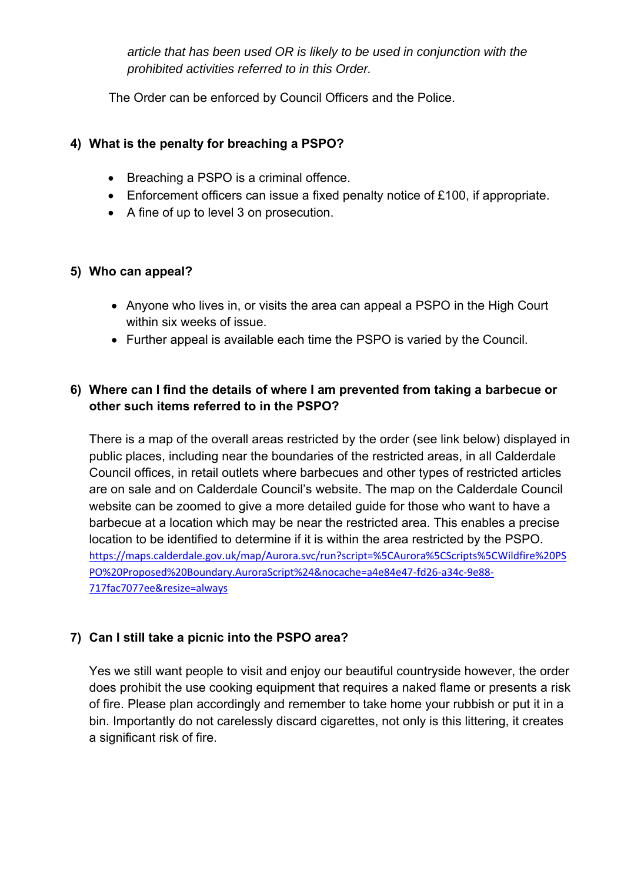*article that has been used OR is likely to be used in conjunction with the prohibited activities referred to in this Order.*

The Order can be enforced by Council Officers and the Police.

### **4) What is the penalty for breaching a PSPO?**

- Breaching a PSPO is a criminal offence.
- Enforcement officers can issue a fixed penalty notice of £100, if appropriate.
- A fine of up to level 3 on prosecution.

#### **5) Who can appeal?**

- Anyone who lives in, or visits the area can appeal a PSPO in the High Court within six weeks of issue.
- Further appeal is available each time the PSPO is varied by the Council.

### **6) Where can I find the details of where I am prevented from taking a barbecue or other such items referred to in the PSPO?**

There is a map of the overall areas restricted by the order (see link below) displayed in public places, including near the boundaries of the restricted areas, in all Calderdale Council offices, in retail outlets where barbecues and other types of restricted articles are on sale and on Calderdale Council's website. The map on the Calderdale Council website can be zoomed to give a more detailed guide for those who want to have a barbecue at a location which may be near the restricted area. This enables a precise location to be identified to determine if it is within the area restricted by the PSPO. [https://maps.calderdale.gov.uk/map/Aurora.svc/run?script=%5CAurora%5CScripts%5CWildfire%20PS](https://maps.calderdale.gov.uk/map/Aurora.svc/run?script=%5CAurora%5CScripts%5CWildfire%20PSPO%20Proposed%20Boundary.AuroraScript%24&nocache=a4e84e47-fd26-a34c-9e88-717fac7077ee&resize=always) [PO%20Proposed%20Boundary.AuroraScript%24&nocache=a4e84e47-fd26-a34c-9e88-](https://maps.calderdale.gov.uk/map/Aurora.svc/run?script=%5CAurora%5CScripts%5CWildfire%20PSPO%20Proposed%20Boundary.AuroraScript%24&nocache=a4e84e47-fd26-a34c-9e88-717fac7077ee&resize=always) [717fac7077ee&resize=always](https://maps.calderdale.gov.uk/map/Aurora.svc/run?script=%5CAurora%5CScripts%5CWildfire%20PSPO%20Proposed%20Boundary.AuroraScript%24&nocache=a4e84e47-fd26-a34c-9e88-717fac7077ee&resize=always)

# **7) Can I still take a picnic into the PSPO area?**

Yes we still want people to visit and enjoy our beautiful countryside however, the order does prohibit the use cooking equipment that requires a naked flame or presents a risk of fire. Please plan accordingly and remember to take home your rubbish or put it in a bin. Importantly do not carelessly discard cigarettes, not only is this littering, it creates a significant risk of fire.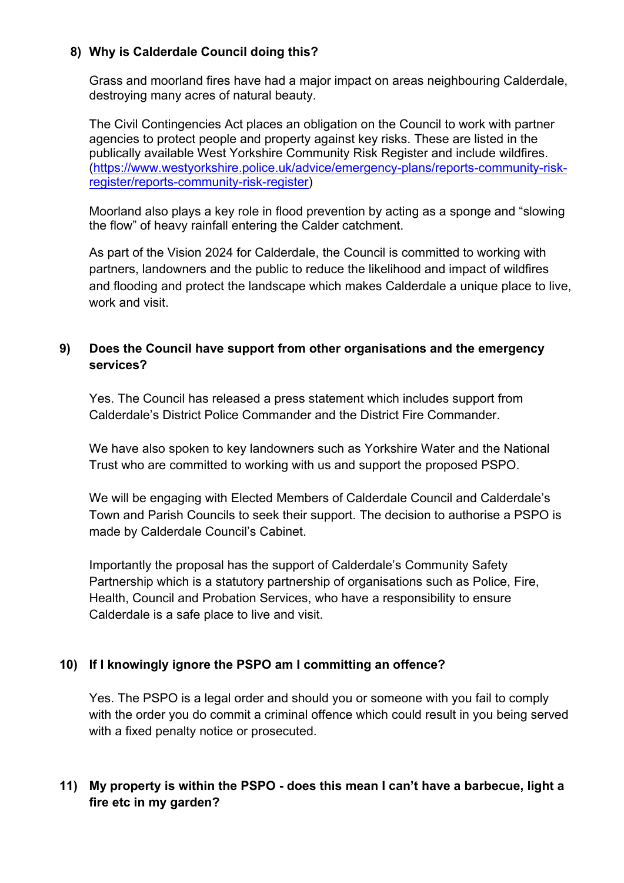#### **8) Why is Calderdale Council doing this?**

Grass and moorland fires have had a major impact on areas neighbouring Calderdale, destroying many acres of natural beauty.

The Civil Contingencies Act places an obligation on the Council to work with partner agencies to protect people and property against key risks. These are listed in the publically available West Yorkshire Community Risk Register and include wildfires. [\(https://www.westyorkshire.police.uk/advice/emergency-plans/reports-community-risk](https://www.westyorkshire.police.uk/advice/emergency-plans/reports-community-risk-register/reports-community-risk-register)[register/reports-community-risk-register\)](https://www.westyorkshire.police.uk/advice/emergency-plans/reports-community-risk-register/reports-community-risk-register)

Moorland also plays a key role in flood prevention by acting as a sponge and "slowing the flow" of heavy rainfall entering the Calder catchment.

As part of the Vision 2024 for Calderdale, the Council is committed to working with partners, landowners and the public to reduce the likelihood and impact of wildfires and flooding and protect the landscape which makes Calderdale a unique place to live, work and visit.

### **9) Does the Council have support from other organisations and the emergency services?**

Yes. The Council has released a press statement which includes support from Calderdale's District Police Commander and the District Fire Commander.

We have also spoken to key landowners such as Yorkshire Water and the National Trust who are committed to working with us and support the proposed PSPO.

We will be engaging with Elected Members of Calderdale Council and Calderdale's Town and Parish Councils to seek their support. The decision to authorise a PSPO is made by Calderdale Council's Cabinet.

Importantly the proposal has the support of Calderdale's Community Safety Partnership which is a statutory partnership of organisations such as Police, Fire, Health, Council and Probation Services, who have a responsibility to ensure Calderdale is a safe place to live and visit.

#### **10) If I knowingly ignore the PSPO am I committing an offence?**

Yes. The PSPO is a legal order and should you or someone with you fail to comply with the order you do commit a criminal offence which could result in you being served with a fixed penalty notice or prosecuted.

# **11) My property is within the PSPO - does this mean I can't have a barbecue, light a fire etc in my garden?**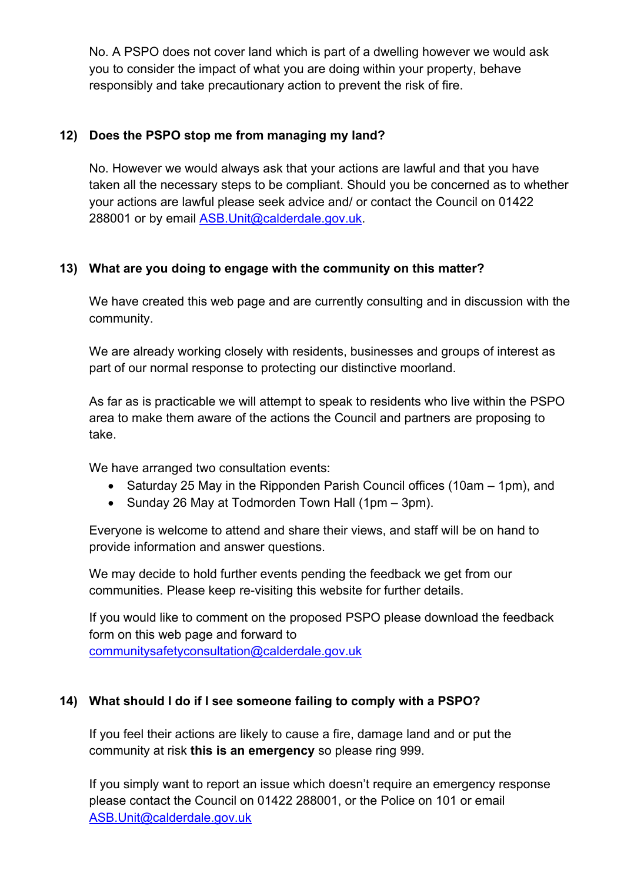No. A PSPO does not cover land which is part of a dwelling however we would ask you to consider the impact of what you are doing within your property, behave responsibly and take precautionary action to prevent the risk of fire.

### **12) Does the PSPO stop me from managing my land?**

No. However we would always ask that your actions are lawful and that you have taken all the necessary steps to be compliant. Should you be concerned as to whether your actions are lawful please seek advice and/ or contact the Council on 01422 288001 or by email [ASB.Unit@calderdale.gov.uk.](mailto:ASB.Unit@calderdale.gov.uk)

### **13) What are you doing to engage with the community on this matter?**

We have created this web page and are currently consulting and in discussion with the community.

We are already working closely with residents, businesses and groups of interest as part of our normal response to protecting our distinctive moorland.

As far as is practicable we will attempt to speak to residents who live within the PSPO area to make them aware of the actions the Council and partners are proposing to take.

We have arranged two consultation events:

- Saturday 25 May in the Ripponden Parish Council offices (10am 1pm), and
- Sunday 26 May at Todmorden Town Hall (1pm 3pm).

Everyone is welcome to attend and share their views, and staff will be on hand to provide information and answer questions.

We may decide to hold further events pending the feedback we get from our communities. Please keep re-visiting this website for further details.

If you would like to comment on the proposed PSPO please download the feedback form on this web page and forward to [communitysafetyconsultation@calderdale.gov.uk](mailto:communitysafetyconsultation@calderdale.gov.uk) 

# **14) What should I do if I see someone failing to comply with a PSPO?**

If you feel their actions are likely to cause a fire, damage land and or put the community at risk **this is an emergency** so please ring 999.

If you simply want to report an issue which doesn't require an emergency response please contact the Council on 01422 288001, or the Police on 101 or email [ASB.Unit@calderdale.gov.uk](mailto:ASB.Unit@calderdale.gov.uk)